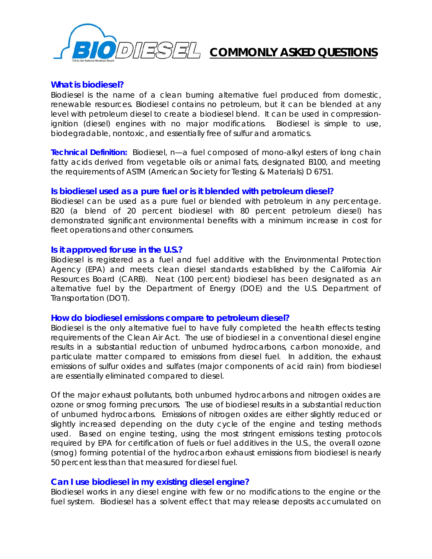

# **COMMONLY ASKED QUESTIONS**

## **What is biodiesel?**

Biodiesel is the name of a clean burning alternative fuel produced from domestic, renewable resources. Biodiesel contains no petroleum, but it can be blended at any level with petroleum diesel to create a biodiesel blend. It can be used in compressionignition (diesel) engines with no major modifications. Biodiesel is simple to use, biodegradable, nontoxic, and essentially free of sulfur and aromatics.

**Technical Definition:** *Biodiesel, n*—a fuel composed of mono-alkyl esters of long chain fatty acids derived from vegetable oils or animal fats, designated B100, and meeting the requirements of ASTM (American Society for Testing & Materials) D 6751.

## **Is biodiesel used as a pure fuel or is it blended with petroleum diesel?**

Biodiesel can be used as a pure fuel or blended with petroleum in any percentage. B20 (a blend of 20 percent biodiesel with 80 percent petroleum diesel) has demonstrated significant environmental benefits with a minimum increase in cost for fleet operations and other consumers.

## **Is it approved for use in the U.S.?**

Biodiesel is registered as a fuel and fuel additive with the Environmental Protection Agency (EPA) and meets clean diesel standards established by the California Air Resources Board (CARB). Neat (100 percent) biodiesel has been designated as an alternative fuel by the Department of Energy (DOE) and the U.S. Department of Transportation (DOT).

## **How do biodiesel emissions compare to petroleum diesel?**

Biodiesel is the only alternative fuel to have fully completed the health effects testing requirements of the Clean Air Act. The use of biodiesel in a conventional diesel engine results in a substantial reduction of unburned hydrocarbons, carbon monoxide, and particulate matter compared to emissions from diesel fuel. In addition, the exhaust emissions of sulfur oxides and sulfates (major components of acid rain) from biodiesel are essentially eliminated compared to diesel.

Of the major exhaust pollutants, both unburned hydrocarbons and nitrogen oxides are ozone or smog forming precursors. The use of biodiesel results in a substantial reduction of unburned hydrocarbons. Emissions of nitrogen oxides are either slightly reduced or slightly increased depending on the duty cycle of the engine and testing methods used. Based on engine testing, using the most stringent emissions testing protocols required by EPA for certification of fuels or fuel additives in the U.S., the overall ozone (smog) forming potential of the hydrocarbon exhaust emissions from biodiesel is nearly 50 percent less than that measured for diesel fuel.

## **Can I use biodiesel in my existing diesel engine?**

Biodiesel works in any diesel engine with few or no modifications to the engine or the fuel system. Biodiesel has a solvent effect that may release deposits accumulated on